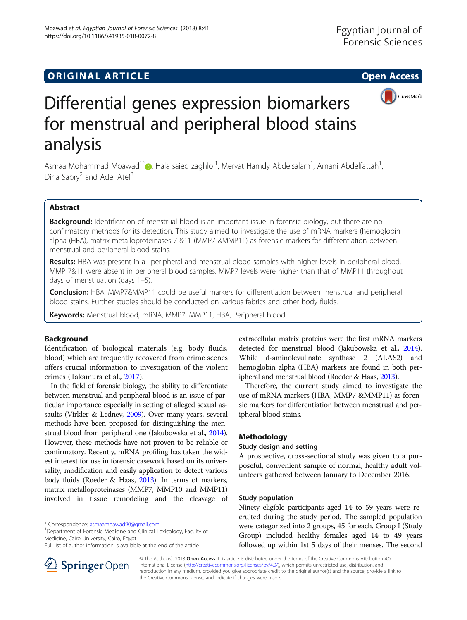## **ORIGINAL ARTICLE CONSUMING A LIGACION** CONSUMING A LIGACION CONSUMING A LIGACION CONSUMING A LIGACION CONSUMING A LIGACION CONSUMING A LIGACION CONSUMING A LIGACION CONSUMING A LIGACION CONSUMING A LIGACION CONSUMING A



# Differential genes expression biomarkers for menstrual and peripheral blood stains analysis

Asmaa Mohammad Moawad<sup>1\*</sup> (**b**[,](http://orcid.org/0000-0002-8448-0034) Hala saied zaghlol<sup>1</sup>, Mervat Hamdy Abdelsalam<sup>1</sup>, Amani Abdelfattah<sup>1</sup> , Dina Sabry<sup>2</sup> and Adel Atef<sup>3</sup>

## Abstract

**Background:** Identification of menstrual blood is an important issue in forensic biology, but there are no confirmatory methods for its detection. This study aimed to investigate the use of mRNA markers (hemoglobin alpha (HBA), matrix metalloproteinases 7 &11 (MMP7 &MMP11) as forensic markers for differentiation between menstrual and peripheral blood stains.

Results: HBA was present in all peripheral and menstrual blood samples with higher levels in peripheral blood. MMP 7&11 were absent in peripheral blood samples. MMP7 levels were higher than that of MMP11 throughout days of menstruation (days 1–5).

Conclusion: HBA, MMP7&MMP11 could be useful markers for differentiation between menstrual and peripheral blood stains. Further studies should be conducted on various fabrics and other body fluids.

Keywords: Menstrual blood, mRNA, MMP7, MMP11, HBA, Peripheral blood

## Background

Identification of biological materials (e.g. body fluids, blood) which are frequently recovered from crime scenes offers crucial information to investigation of the violent crimes (Takamura et al., [2017](#page-5-0)).

In the field of forensic biology, the ability to differentiate between menstrual and peripheral blood is an issue of particular importance especially in setting of alleged sexual assaults (Virkler & Lednev, [2009](#page-5-0)). Over many years, several methods have been proposed for distinguishing the menstrual blood from peripheral one (Jakubowska et al., [2014](#page-5-0)). However, these methods have not proven to be reliable or confirmatory. Recently, mRNA profiling has taken the widest interest for use in forensic casework based on its universality, modification and easily application to detect various body fluids (Roeder & Haas, [2013](#page-5-0)). In terms of markers, matrix metalloproteinases (MMP7, MMP10 and MMP11) involved in tissue remodeling and the cleavage of

\* Correspondence: [asmaamoawad90@gmail.com](mailto:asmaamoawad90@gmail.com) <sup>1</sup>

<sup>1</sup>Department of Forensic Medicine and Clinical Toxicology, Faculty of Medicine, Cairo University, Cairo, Egypt

Full list of author information is available at the end of the article



extracellular matrix proteins were the first mRNA markers detected for menstrual blood (Jakubowska et al., [2014](#page-5-0)). While d-aminolevulinate synthase 2 (ALAS2) and hemoglobin alpha (HBA) markers are found in both peripheral and menstrual blood (Roeder & Haas, [2013\)](#page-5-0).

Therefore, the current study aimed to investigate the use of mRNA markers (HBA, MMP7 &MMP11) as forensic markers for differentiation between menstrual and peripheral blood stains.

## Methodology

## Study design and setting

A prospective, cross-sectional study was given to a purposeful, convenient sample of normal, healthy adult volunteers gathered between January to December 2016.

## Study population

Ninety eligible participants aged 14 to 59 years were recruited during the study period. The sampled population were categorized into 2 groups, 45 for each. Group I (Study Group) included healthy females aged 14 to 49 years followed up within 1st 5 days of their menses. The second

© The Author(s). 2018 Open Access This article is distributed under the terms of the Creative Commons Attribution 4.0 International License ([http://creativecommons.org/licenses/by/4.0/\)](http://creativecommons.org/licenses/by/4.0/), which permits unrestricted use, distribution, and reproduction in any medium, provided you give appropriate credit to the original author(s) and the source, provide a link to the Creative Commons license, and indicate if changes were made.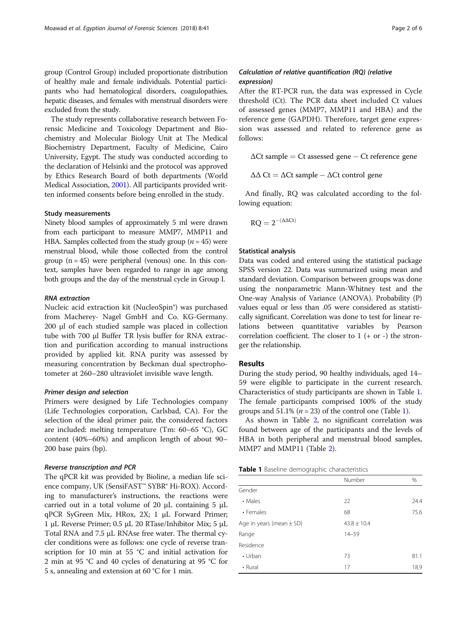group (Control Group) included proportionate distribution of healthy male and female individuals. Potential participants who had hematological disorders, coagulopathies, hepatic diseases, and females with menstrual disorders were excluded from the study.

The study represents collaborative research between Forensic Medicine and Toxicology Department and Biochemistry and Molecular Biology Unit at The Medical Biochemistry Department, Faculty of Medicine, Cairo University, Egypt. The study was conducted according to the declaration of Helsinki and the protocol was approved by Ethics Research Board of both departments (World Medical Association, [2001\)](#page-5-0). All participants provided written informed consents before being enrolled in the study.

## Study measurements

Ninety blood samples of approximately 5 ml were drawn from each participant to measure MMP7, MMP11 and HBA. Samples collected from the study group  $(n = 45)$  were menstrual blood, while those collected from the control group  $(n = 45)$  were peripheral (venous) one. In this context, samples have been regarded to range in age among both groups and the day of the menstrual cycle in Group I.

## RNA extraction

Nucleic acid extraction kit (NucleoSpin®) was purchased from Macherey- Nagel GmbH and Co. KG-Germany. 200 μl of each studied sample was placed in collection tube with 700 μl Buffer TR lysis buffer for RNA extraction and purification according to manual instructions provided by applied kit. RNA purity was assessed by measuring concentration by Beckman dual spectrophotometer at 260–280 ultraviolet invisible wave length.

## Primer design and selection

Primers were designed by Life Technologies company (Life Technologies corporation, Carlsbad, CA). For the selection of the ideal primer pair, the considered factors are included: melting temperature (Tm: 60–65 °C), GC content (40%–60%) and amplicon length of about 90– 200 base pairs (bp).

## Reverse transcription and PCR

The qPCR kit was provided by Bioline, a median life science company, UK (SensiFAST™ SYBR® Hi-ROX). According to manufacturer's instructions, the reactions were carried out in a total volume of 20  $\mu$ L containing 5  $\mu$ L qPCR SyGreen Mix, HRox, 2X; 1 μL Forward Primer; 1 μL Reverse Primer; 0.5 μL 20 RTase/Inhibitor Mix; 5 μL Total RNA and 7.5 μL RNAse free water. The thermal cycler conditions were as follows: one cycle of reverse transcription for 10 min at 55 °C and initial activation for 2 min at 95 °C and 40 cycles of denaturing at 95 °C for 5 s, annealing and extension at 60 °C for 1 min.

## Calculation of relative quantification (RQ) (relative expression)

After the RT-PCR run, the data was expressed in Cycle threshold (Ct). The PCR data sheet included Ct values of assessed genes (MMP7, MMP11 and HBA) and the reference gene (GAPDH). Therefore, target gene expression was assessed and related to reference gene as follows:

 $\Delta$ Ct sample = Ct assessed gene – Ct reference gene

 $\Delta\Delta$  Ct =  $\Delta$ Ct sample -  $\Delta$ Ct control gene

And finally, RQ was calculated according to the following equation:

 $RQ = 2^{-(\Delta \Delta Ct)}$ 

## Statistical analysis

Data was coded and entered using the statistical package SPSS version 22. Data was summarized using mean and standard deviation. Comparison between groups was done using the nonparametric Mann-Whitney test and the One-way Analysis of Variance (ANOVA). Probability (P) values equal or less than .05 were considered as statistically significant. Correlation was done to test for linear relations between quantitative variables by Pearson correlation coefficient. The closer to  $1 (+ or -)$  the stronger the relationship.

#### Results

During the study period, 90 healthy individuals, aged 14– 59 were eligible to participate in the current research. Characteristics of study participants are shown in Table 1. The female participants comprised 100% of the study groups and  $51.1\%$  ( $n = 23$ ) of the control one (Table 1).

As shown in Table [2,](#page-2-0) no significant correlation was found between age of the participants and the levels of HBA in both peripheral and menstrual blood samples, MMP7 and MMP11 (Table [2\)](#page-2-0).

|  |  |  | Table 1 Baseline demographic characteristics |
|--|--|--|----------------------------------------------|
|--|--|--|----------------------------------------------|

|                              | Number          | %    |
|------------------------------|-----------------|------|
| Gender                       |                 |      |
| • Males                      | 22              | 24.4 |
| • Females                    | 68              | 75.6 |
| Age in years (mean $\pm$ SD) | $43.8 \pm 10.4$ |      |
| Range                        | $14 - 59$       |      |
| Residence                    |                 |      |
| $\cdot$ Urban                | 73              | 81.1 |
| • Rural                      | 17              | 18.9 |
|                              |                 |      |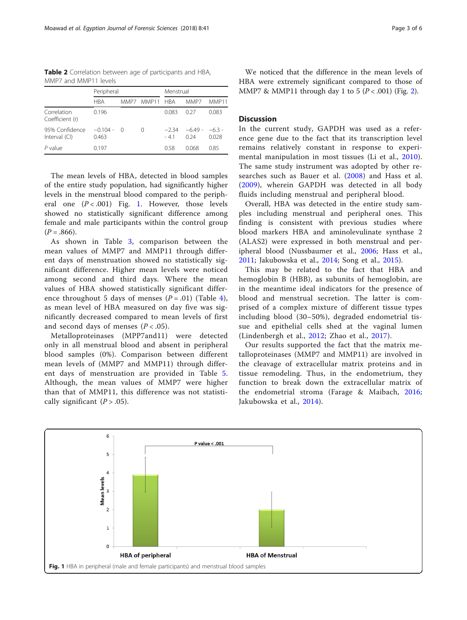<span id="page-2-0"></span>

| Table 2 Correlation between age of participants and HBA, |  |  |  |
|----------------------------------------------------------|--|--|--|
| MMP7 and MMP11 levels                                    |  |  |  |

|                                 | Peripheral          |      |           | Menstrual       |                 |                   |
|---------------------------------|---------------------|------|-----------|-----------------|-----------------|-------------------|
|                                 | <b>HBA</b>          | MMP7 | MMP11 HRA |                 | MMP7            | MMP11             |
| Correlation<br>Coefficient (r)  | 0.196               |      |           | 0.083           | 0.27            | 0.083             |
| 95% Confidence<br>Interval (CI) | $-0.104 -$<br>0.463 | - () | $^{(1)}$  | $-234$<br>$-41$ | $-649-$<br>0.24 | $-6.3 -$<br>0.028 |
| P value                         | 0.197               |      |           | 0.58            | 0.068           | 0.85              |

The mean levels of HBA, detected in blood samples of the entire study population, had significantly higher levels in the menstrual blood compared to the peripheral one  $(P < .001)$  Fig. 1. However, those levels showed no statistically significant difference among female and male participants within the control group  $(P=.866).$ 

As shown in Table [3,](#page-3-0) comparison between the mean values of MMP7 and MMP11 through different days of menstruation showed no statistically significant difference. Higher mean levels were noticed among second and third days. Where the mean values of HBA showed statistically significant difference throughout 5 days of menses  $(P = .01)$  (Table [4](#page-3-0)), as mean level of HBA measured on day five was significantly decreased compared to mean levels of first and second days of menses  $(P < .05)$ .

Metalloproteinases (MPP7and11) were detected only in all menstrual blood and absent in peripheral blood samples (0%). Comparison between different mean levels of (MMP7 and MMP11) through different days of menstruation are provided in Table [5](#page-3-0). Although, the mean values of MMP7 were higher than that of MMP11, this difference was not statistically significant  $(P > .05)$ .

We noticed that the difference in the mean levels of HBA were extremely significant compared to those of MMP7 & MMP11 through day 1 to 5 ( $P < .001$ ) (Fig. [2\)](#page-4-0).

## **Discussion**

In the current study, GAPDH was used as a reference gene due to the fact that its transcription level remains relatively constant in response to experimental manipulation in most tissues (Li et al., [2010](#page-5-0)). The same study instrument was adopted by other researches such as Bauer et al. ([2008\)](#page-4-0) and Hass et al. ([2009](#page-5-0)), wherein GAPDH was detected in all body fluids including menstrual and peripheral blood.

Overall, HBA was detected in the entire study samples including menstrual and peripheral ones. This finding is consistent with previous studies where blood markers HBA and aminolevulinate synthase 2 (ALAS2) were expressed in both menstrual and peripheral blood (Nussbaumer et al., [2006](#page-5-0); Hass et al., [2011;](#page-5-0) Jakubowska et al., [2014;](#page-5-0) Song et al., [2015\)](#page-5-0).

This may be related to the fact that HBA and hemoglobin B (HBB), as subunits of hemoglobin, are in the meantime ideal indicators for the presence of blood and menstrual secretion. The latter is comprised of a complex mixture of different tissue types including blood (30–50%), degraded endometrial tissue and epithelial cells shed at the vaginal lumen (Lindenbergh et al., [2012](#page-5-0); Zhao et al., [2017](#page-5-0)).

Our results supported the fact that the matrix metalloproteinases (MMP7 and MMP11) are involved in the cleavage of extracellular matrix proteins and in tissue remodeling. Thus, in the endometrium, they function to break down the extracellular matrix of the endometrial stroma (Farage & Maibach, [2016](#page-5-0); Jakubowska et al., [2014](#page-5-0)).

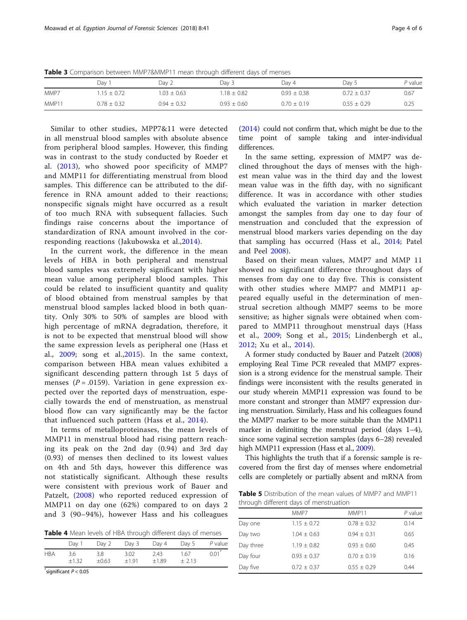<span id="page-3-0"></span>Table 3 Comparison between MMP7&MMP11 mean through different days of menses

|       | Day 1           | Day 2           | Dav 3           | Dav 4           | Dav 5           | P value |
|-------|-----------------|-----------------|-----------------|-----------------|-----------------|---------|
| MMP7  | $.15 \pm 0.72$  | $1.03 \pm 0.63$ | $1.18 + 0.82$   | $0.93 \pm 0.38$ | $0.72 + 0.37$   | 0.67    |
| MMP11 | $0.78 \pm 0.32$ | $0.94 \pm 0.32$ | $0.93 \pm 0.60$ | $0.70 \pm 0.19$ | $0.55 \pm 0.29$ | 0.25    |

Similar to other studies, MPP7&11 were detected in all menstrual blood samples with absolute absence from peripheral blood samples. However, this finding was in contrast to the study conducted by Roeder et al. ([2013\)](#page-5-0), who showed poor specificity of MMP7 and MMP11 for differentiating menstrual from blood samples. This difference can be attributed to the difference in RNA amount added to their reactions; nonspecific signals might have occurred as a result of too much RNA with subsequent fallacies. Such findings raise concerns about the importance of standardization of RNA amount involved in the corresponding reactions (Jakubowska et al.,[2014](#page-5-0)).

In the current work, the difference in the mean levels of HBA in both peripheral and menstrual blood samples was extremely significant with higher mean value among peripheral blood samples. This could be related to insufficient quantity and quality of blood obtained from menstrual samples by that menstrual blood samples lacked blood in both quantity. Only 30% to 50% of samples are blood with high percentage of mRNA degradation, therefore, it is not to be expected that menstrual blood will show the same expression levels as peripheral one (Hass et al., [2009;](#page-5-0) song et al.,[2015](#page-5-0)). In the same context, comparison between HBA mean values exhibited a significant descending pattern through 1st 5 days of menses ( $P = .0159$ ). Variation in gene expression expected over the reported days of menstruation, especially towards the end of menstruation, as menstrual blood flow can vary significantly may be the factor that influenced such pattern (Hass et al., [2014\)](#page-5-0).

In terms of metalloproteinases, the mean levels of MMP11 in menstrual blood had rising pattern reaching its peak on the 2nd day (0.94) and 3rd day (0.93) of menses then declined to its lowest values on 4th and 5th days, however this difference was not statistically significant. Although these results were consistent with previous work of Bauer and Patzelt, ([2008](#page-4-0)) who reported reduced expression of MMP11 on day one (62%) compared to on days 2 and 3 (90–94%), however Hass and his colleagues

Table 4 Mean levels of HBA through different days of menses

|            | Day 1           | Day 2          | Day 3           | Day 4           | Day 5           | P value             |
|------------|-----------------|----------------|-----------------|-----------------|-----------------|---------------------|
| <b>HBA</b> | -3.6<br>$+1.32$ | 3.8<br>$+0.63$ | 3.02<br>$+1.91$ | 2.43<br>$+1.89$ | 1.67<br>$+2.13$ | $0.01$ <sup>*</sup> |

 $\checkmark$ significant  $P < 0.05$ 

([2014](#page-5-0)) could not confirm that, which might be due to the time point of sample taking and inter-individual differences.

In the same setting, expression of MMP7 was declined throughout the days of menses with the highest mean value was in the third day and the lowest mean value was in the fifth day, with no significant difference. It was in accordance with other studies which evaluated the variation in marker detection amongst the samples from day one to day four of menstruation and concluded that the expression of menstrual blood markers varies depending on the day that sampling has occurred (Hass et al., [2014](#page-5-0); Patel and Peel [2008](#page-5-0)).

Based on their mean values, MMP7 and MMP 11 showed no significant difference throughout days of menses from day one to day five. This is consistent with other studies where MMP7 and MMP11 appeared equally useful in the determination of menstrual secretion although MMP7 seems to be more sensitive; as higher signals were obtained when compared to MMP11 throughout menstrual days (Hass et al., [2009](#page-5-0); Song et al., [2015;](#page-5-0) Lindenbergh et al., [2012](#page-5-0); Xu et al., [2014\)](#page-5-0).

A former study conducted by Bauer and Patzelt [\(2008](#page-4-0)) employing Real Time PCR revealed that MMP7 expression is a strong evidence for the menstrual sample. Their findings were inconsistent with the results generated in our study wherein MMP11 expression was found to be more constant and stronger than MMP7 expression during menstruation. Similarly, Hass and his colleagues found the MMP7 marker to be more suitable than the MMP11 marker in delimiting the menstrual period (days 1–4), since some vaginal secretion samples (days 6–28) revealed high MMP11 expression (Hass et al., [2009](#page-5-0)).

This highlights the truth that if a forensic sample is recovered from the first day of menses where endometrial cells are completely or partially absent and mRNA from

Table 5 Distribution of the mean values of MMP7 and MMP11 through different days of menstruation

|           | MMP7            | MMP11           | $P$ value |
|-----------|-----------------|-----------------|-----------|
| Day one   | $1.15 \pm 0.72$ | $0.78 \pm 0.32$ | 0.14      |
| Day two   | $1.04 \pm 0.63$ | $0.94 + 0.31$   | 0.65      |
| Day three | $1.19 \pm 0.82$ | $0.93 + 0.60$   | 0.45      |
| Day four  | $0.93 \pm 0.37$ | $0.70 \pm 0.19$ | 0.16      |
| Day five  | $0.72 \pm 0.37$ | $0.55 \pm 0.29$ | 0.44      |
|           |                 |                 |           |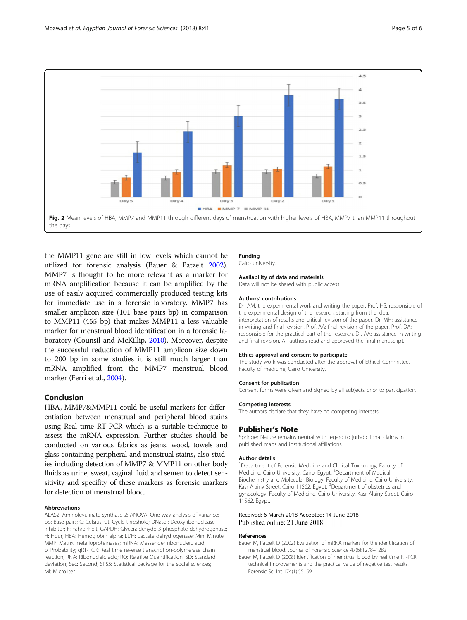<span id="page-4-0"></span>

the MMP11 gene are still in low levels which cannot be utilized for forensic analysis (Bauer & Patzelt 2002). MMP7 is thought to be more relevant as a marker for mRNA amplification because it can be amplified by the use of easily acquired commercially produced testing kits for immediate use in a forensic laboratory. MMP7 has smaller amplicon size (101 base pairs bp) in comparison to MMP11 (455 bp) that makes MMP11 a less valuable marker for menstrual blood identification in a forensic laboratory (Counsil and McKillip, [2010\)](#page-5-0). Moreover, despite the successful reduction of MMP11 amplicon size down to 200 bp in some studies it is still much larger than mRNA amplified from the MMP7 menstrual blood marker (Ferri et al., [2004\)](#page-5-0).

## Conclusion

HBA, MMP7&MMP11 could be useful markers for differentiation between menstrual and peripheral blood stains using Real time RT-PCR which is a suitable technique to assess the mRNA expression. Further studies should be conducted on various fabrics as jeans, wood, towels and glass containing peripheral and menstrual stains, also studies including detection of MMP7 & MMP11 on other body fluids as urine, sweat, vaginal fluid and semen to detect sensitivity and specifity of these markers as forensic markers for detection of menstrual blood.

#### Abbreviations

ALAS2: Aminolevulinate synthase 2; ANOVA: One-way analysis of variance; bp: Base pairs; C: Celsius; Ct: Cycle threshold; DNaseI: Deoxyribonuclease inhibitor; F: Fahrenheit; GAPDH: Glyceraldehyde 3-phosphate dehydrogenase; H: Hour; HBA: Hemoglobin alpha; LDH: Lactate dehydrogenase; Min: Minute; MMP: Matrix metalloproteinases; mRNA: Messenger ribonucleic acid; p: Probability; qRT-PCR: Real time reverse transcription-polymerase chain reaction; RNA: Ribonucleic acid; RQ: Relative Quantification; SD: Standard deviation; Sec: Second; SPSS: Statistical package for the social sciences; Μl: Microliter

## Funding

Cairo university.

## Availability of data and materials

Data will not be shared with public access.

#### Authors' contributions

Dr. AM: the experimental work and writing the paper. Prof. HS: responsible of the experimental design of the research, starting from the idea, interpretation of results and critical revision of the paper. Dr. MH: assistance in writing and final revision. Prof. AA: final revision of the paper. Prof. DA: responsible for the practical part of the research. Dr. AA: assistance in writing and final revision. All authors read and approved the final manuscript.

#### Ethics approval and consent to participate

The study work was conducted after the approval of Ethical Committee, Faculty of medicine, Cairo University.

## Consent for publication

Consent forms were given and signed by all subjects prior to participation.

#### Competing interests

The authors declare that they have no competing interests.

## Publisher's Note

Springer Nature remains neutral with regard to jurisdictional claims in published maps and institutional affiliations.

#### Author details

<sup>1</sup>Department of Forensic Medicine and Clinical Toxicology, Faculty of Medicine, Cairo University, Cairo, Egypt. <sup>2</sup>Department of Medical Biochemistry and Molecular Biology, Faculty of Medicine, Cairo University, Kasr Alainy Street, Cairo 11562, Egypt. <sup>3</sup>Department of obstetrics and gynecology, Faculty of Medicine, Cairo University, Kasr Alainy Street, Cairo 11562, Egypt.

## Received: 6 March 2018 Accepted: 14 June 2018 Published online: 21 June 2018

#### References

- Bauer M, Patzelt D (2002) Evaluation of mRNA markers for the identification of menstrual blood. Journal of Forensic Science 47(6):1278–1282
- Bauer M, Patzelt D (2008) Identification of menstrual blood by real time RT-PCR: technical improvements and the practical value of negative test results. Forensic Sci Int 174(1):55–59